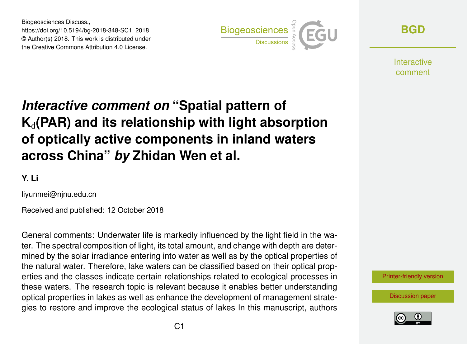Biogeosciences Discuss., https://doi.org/10.5194/bg-2018-348-SC1, 2018 © Author(s) 2018. This work is distributed under the Creative Commons Attribution 4.0 License.



**[BGD](https://www.biogeosciences-discuss.net/)**

**Interactive** comment

## *Interactive comment on* **"Spatial pattern of**  $K_d$ (PAR) and its relationship with light absorption **of optically active components in inland waters across China"** *by* **Zhidan Wen et al.**

**Y. Li**

liyunmei@njnu.edu.cn

Received and published: 12 October 2018

General comments: Underwater life is markedly influenced by the light field in the water. The spectral composition of light, its total amount, and change with depth are determined by the solar irradiance entering into water as well as by the optical properties of the natural water. Therefore, lake waters can be classified based on their optical properties and the classes indicate certain relationships related to ecological processes in these waters. The research topic is relevant because it enables better understanding optical properties in lakes as well as enhance the development of management strategies to restore and improve the ecological status of lakes In this manuscript, authors



[Discussion paper](https://www.biogeosciences-discuss.net/bg-2018-348)

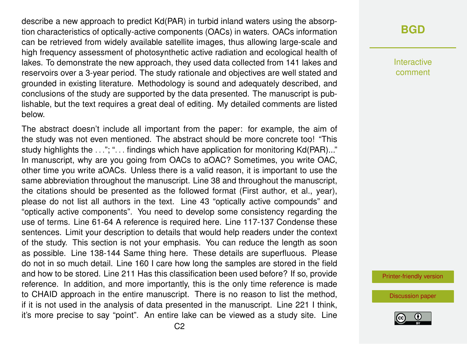describe a new approach to predict Kd(PAR) in turbid inland waters using the absorption characteristics of optically-active components (OACs) in waters. OACs information can be retrieved from widely available satellite images, thus allowing large-scale and high frequency assessment of photosynthetic active radiation and ecological health of lakes. To demonstrate the new approach, they used data collected from 141 lakes and reservoirs over a 3-year period. The study rationale and objectives are well stated and grounded in existing literature. Methodology is sound and adequately described, and conclusions of the study are supported by the data presented. The manuscript is publishable, but the text requires a great deal of editing. My detailed comments are listed below.

The abstract doesn't include all important from the paper: for example, the aim of the study was not even mentioned. The abstract should be more concrete too! "This study highlights the ..."; "... findings which have application for monitoring Kd(PAR)..." In manuscript, why are you going from OACs to aOAC? Sometimes, you write OAC, other time you write aOACs. Unless there is a valid reason, it is important to use the same abbreviation throughout the manuscript. Line 38 and throughout the manuscript, the citations should be presented as the followed format (First author, et al., year), please do not list all authors in the text. Line 43 "optically active compounds" and "optically active components". You need to develop some consistency regarding the use of terms. Line 61-64 A reference is required here. Line 117-137 Condense these sentences. Limit your description to details that would help readers under the context of the study. This section is not your emphasis. You can reduce the length as soon as possible. Line 138-144 Same thing here. These details are superfluous. Please do not in so much detail. Line 160 I care how long the samples are stored in the field and how to be stored. Line 211 Has this classification been used before? If so, provide reference. In addition, and more importantly, this is the only time reference is made to CHAID approach in the entire manuscript. There is no reason to list the method, if it is not used in the analysis of data presented in the manuscript. Line 221 I think, it's more precise to say "point". An entire lake can be viewed as a study site. Line

## **[BGD](https://www.biogeosciences-discuss.net/)**

Interactive comment

[Printer-friendly version](https://www.biogeosciences-discuss.net/bg-2018-348/bg-2018-348-SC1-print.pdf)

[Discussion paper](https://www.biogeosciences-discuss.net/bg-2018-348)